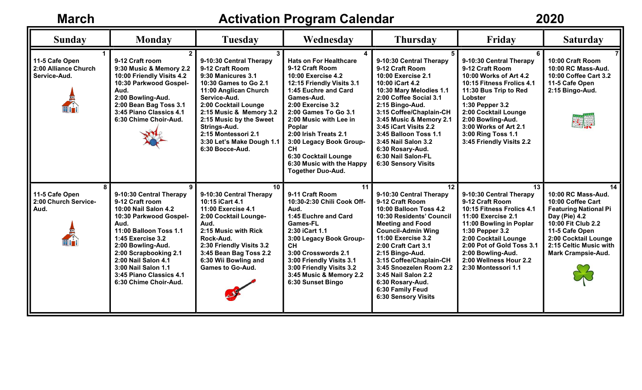**March Activation Program Calendar 2020**

| <b>Sunday</b>                                          | <b>Monday</b>                                                                                                                                                                                                                                                                                       | <b>Tuesday</b>                                                                                                                                                                                                                                                                                          | Wednesday                                                                                                                                                                                                                                                                                                                                                                           | <b>Thursday</b>                                                                                                                                                                                                                                                                                                                                                                                | Friday                                                                                                                                                                                                                                                                           | <b>Saturday</b>                                                                                                                                                                                                       |
|--------------------------------------------------------|-----------------------------------------------------------------------------------------------------------------------------------------------------------------------------------------------------------------------------------------------------------------------------------------------------|---------------------------------------------------------------------------------------------------------------------------------------------------------------------------------------------------------------------------------------------------------------------------------------------------------|-------------------------------------------------------------------------------------------------------------------------------------------------------------------------------------------------------------------------------------------------------------------------------------------------------------------------------------------------------------------------------------|------------------------------------------------------------------------------------------------------------------------------------------------------------------------------------------------------------------------------------------------------------------------------------------------------------------------------------------------------------------------------------------------|----------------------------------------------------------------------------------------------------------------------------------------------------------------------------------------------------------------------------------------------------------------------------------|-----------------------------------------------------------------------------------------------------------------------------------------------------------------------------------------------------------------------|
| 11-5 Cafe Open<br>2:00 Alliance Church<br>Service-Aud. | 9-12 Craft room<br>9:30 Music & Memory 2.2<br>10:00 Friendly Visits 4.2<br>10:30 Parkwood Gospel-<br>Aud.<br>2:00 Bowling-Aud.<br>2:00 Bean Bag Toss 3.1<br>3:45 Piano Classics 4.1<br>6:30 Chime Choir-Aud.                                                                                        | 9-10:30 Central Therapy<br>9-12 Craft Room<br>9:30 Manicures 3.1<br>10:30 Games to Go 2.1<br>11:00 Anglican Church<br>Service-Aud.<br>2:00 Cocktail Lounge<br>2:15 Music & Memory 3.2<br>2:15 Music by the Sweet<br>Strings-Aud.<br>2:15 Montessori 2.1<br>3:30 Let's Make Dough 1.1<br>6:30 Bocce-Aud. | <b>Hats on For Healthcare</b><br>9-12 Craft Room<br><b>10:00 Exercise 4.2</b><br>12:15 Friendly Visits 3.1<br>1:45 Euchre and Card<br>Games-Aud.<br>2:00 Exercise 3.2<br>2:00 Games To Go 3.1<br>2:00 Music with Lee in<br>Poplar<br>2:00 Irish Treats 2.1<br>3:00 Legacy Book Group-<br><b>CH</b><br>6:30 Cocktail Lounge<br>6:30 Music with the Happy<br><b>Together Duo-Aud.</b> | 9-10:30 Central Therapy<br>9-12 Craft Room<br>10:00 Exercise 2.1<br>10:00 iCart 4.2<br>10:30 Mary Melodies 1.1<br>2:00 Coffee Social 3.1<br>2:15 Bingo-Aud.<br>3:15 Coffee/Chaplain-CH<br>3:45 Music & Memory 2.1<br>3:45 iCart Visits 2.2<br>3:45 Balloon Toss 1.1<br>3:45 Nail Salon 3.2<br>6:30 Rosary-Aud.<br>6:30 Nail Salon-FL<br><b>6:30 Sensory Visits</b>                             | 9-10:30 Central Therapy<br>9-12 Craft Room<br>10:00 Works of Art 4.2<br>10:15 Fitness Frolics 4.1<br>11:30 Bus Trip to Red<br>Lobster<br>1:30 Pepper 3.2<br>2:00 Cocktail Lounge<br>2:00 Bowling-Aud.<br>3:00 Works of Art 2.1<br>3:00 Ring Toss 1.1<br>3:45 Friendly Visits 2.2 | 10:00 Craft Room<br>10:00 RC Mass-Aud.<br>10:00 Coffee Cart 3.2<br>11-5 Cafe Open<br>2:15 Bingo-Aud.<br>装置                                                                                                            |
| 11-5 Cafe Open<br>2:00 Church Service-<br>Aud.         | 9-10:30 Central Therapy<br>9-12 Craft room<br>10:00 Nail Salon 4.2<br>10:30 Parkwood Gospel-<br>Aud.<br>11:00 Balloon Toss 1.1<br>1:45 Exercise 3.2<br>2:00 Bowling-Aud.<br>2:00 Scrapbooking 2.1<br>2:00 Nail Salon 4.1<br>3:00 Nail Salon 1.1<br>3:45 Piano Classics 4.1<br>6:30 Chime Choir-Aud. | 10<br>9-10:30 Central Therapy<br>10:15 iCart 4.1<br>11:00 Exercise 4.1<br>2:00 Cocktail Lounge-<br>Aud.<br>2:15 Music with Rick<br>Rock-Aud.<br>2:30 Friendly Visits 3.2<br>3:45 Bean Bag Toss 2.2<br>6:30 Wii Bowling and<br><b>Games to Go-Aud.</b>                                                   | 11<br>9-11 Craft Room<br>10:30-2:30 Chili Cook Off-<br>Aud.<br>1:45 Euchre and Card<br><b>Games-FL</b><br>2:30 iCart 1.1<br>3:00 Legacy Book Group-<br><b>CH</b><br>3:00 Crosswords 2.1<br>3:00 Friendly Visits 3.1<br>3:00 Friendly Visits 3.2<br>3:45 Music & Memory 2.2<br>6:30 Sunset Bingo                                                                                     | 12 <sub>2</sub><br>9-10:30 Central Therapy<br>9-12 Craft Room<br>10:00 Balloon Toss 4.2<br>10:30 Residents' Council<br><b>Meeting and Food</b><br><b>Council-Admin Wing</b><br>11:00 Exercise 3.2<br>2:00 Craft Cart 3.1<br>2:15 Bingo-Aud.<br>3:15 Coffee/Chaplain-CH<br>3:45 Snoezelen Room 2.2<br>3:45 Nail Salon 2.2<br>6:30 Rosary-Aud.<br>6:30 Family Feud<br><b>6:30 Sensory Visits</b> | 13<br>9-10:30 Central Therapy<br>9-12 Craft Room<br>10:15 Fitness Frolics 4.1<br>11:00 Exercise 2.1<br>11:00 Bowling in Poplar<br>1:30 Pepper 3.2<br>2:00 Cocktail Lounge<br>2:00 Pot of Gold Toss 3.1<br>2:00 Bowling-Aud.<br>2:00 Wellness Hour 2.2<br>2:30 Montessori 1.1     | 14<br>10:00 RC Mass-Aud.<br>10:00 Coffee Cart<br><b>Featuring National Pi</b><br>Day (Pie) 4.2<br>10:00 Fit Club 2.2<br>11-5 Cafe Open<br>2:00 Cocktail Lounge<br>2:15 Celtic Music with<br><b>Mark Crampsie-Aud.</b> |